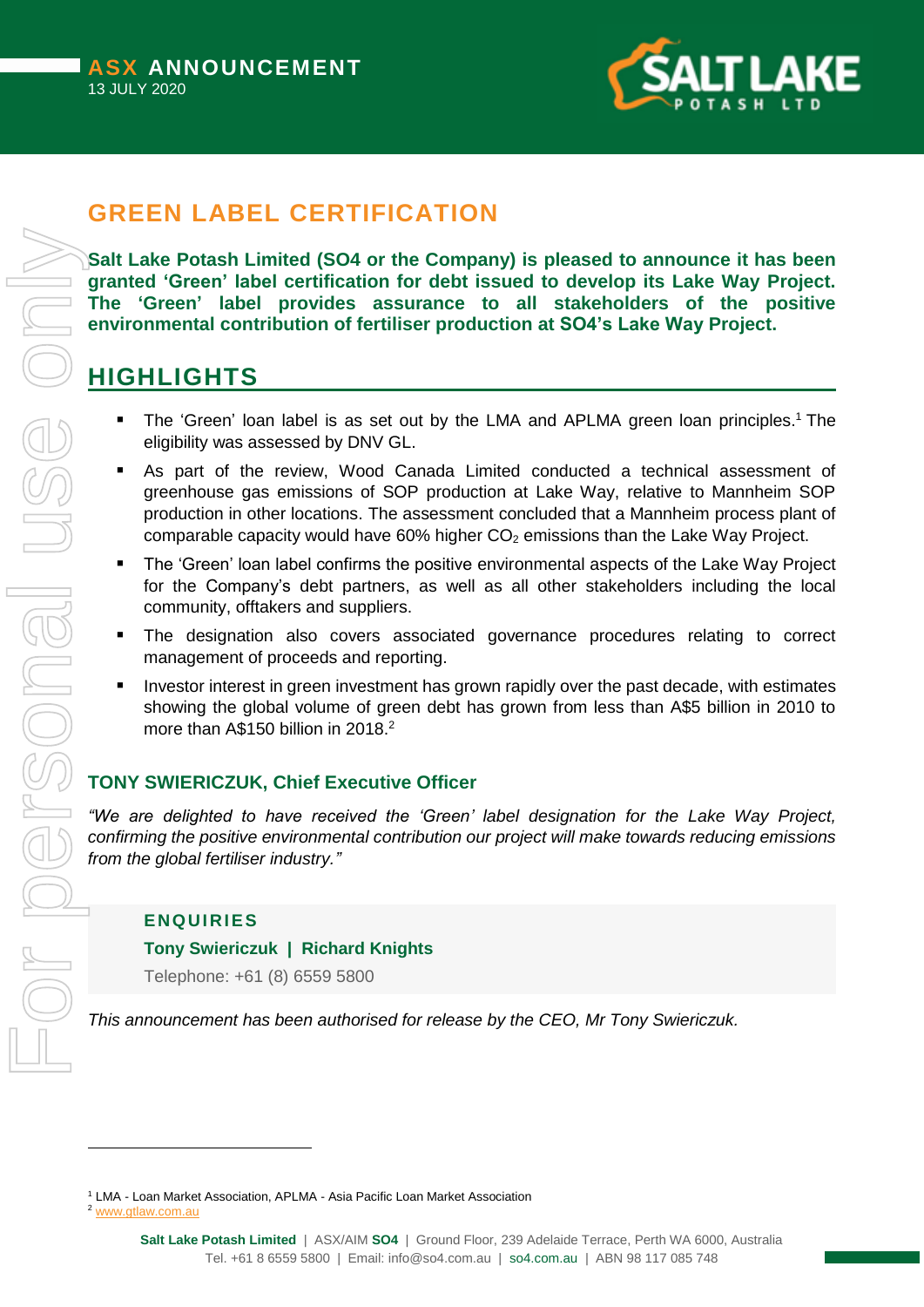

# **GREEN LABEL CERTIFICATION**

**Salt Lake Potash Limited (SO4 or the Company) is pleased to announce it has been granted 'Green' label certification for debt issued to develop its Lake Way Project. The 'Green' label provides assurance to all stakeholders of the positive environmental contribution of fertiliser production at SO4's Lake Way Project.**

## **HIGHLIGHTS**

- The 'Green' loan label is as set out by the LMA and APLMA green loan principles.<sup>1</sup> The eligibility was assessed by DNV GL.
- As part of the review, Wood Canada Limited conducted a technical assessment of greenhouse gas emissions of SOP production at Lake Way, relative to Mannheim SOP production in other locations. The assessment concluded that a Mannheim process plant of comparable capacity would have 60% higher  $CO<sub>2</sub>$  emissions than the Lake Way Project.
- **The 'Green' loan label confirms the positive environmental aspects of the Lake Way Project** for the Company's debt partners, as well as all other stakeholders including the local community, offtakers and suppliers.
- **The designation also covers associated governance procedures relating to correct** management of proceeds and reporting.
- **Investor interest in green investment has grown rapidly over the past decade, with estimates** showing the global volume of green debt has grown from less than A\$5 billion in 2010 to more than A\$150 billion in 2018.<sup>2</sup>

### **TONY SWIERICZUK, Chief Executive Officer**

*"We are delighted to have received the 'Green' label designation for the Lake Way Project, confirming the positive environmental contribution our project will make towards reducing emissions from the global fertiliser industry."*

#### **ENQ UI RIES**

#### **Tony Swiericzuk | Richard Knights**

Telephone: +61 (8) 6559 5800

*This announcement has been authorised for release by the CEO, Mr Tony Swiericzuk.*

-

<sup>&</sup>lt;sup>1</sup> LMA - Loan Market Association, APLMA - Asia Pacific Loan Market Association

<sup>2</sup> [www.gtlaw.com.au](http://www.gtlaw.com.au/)